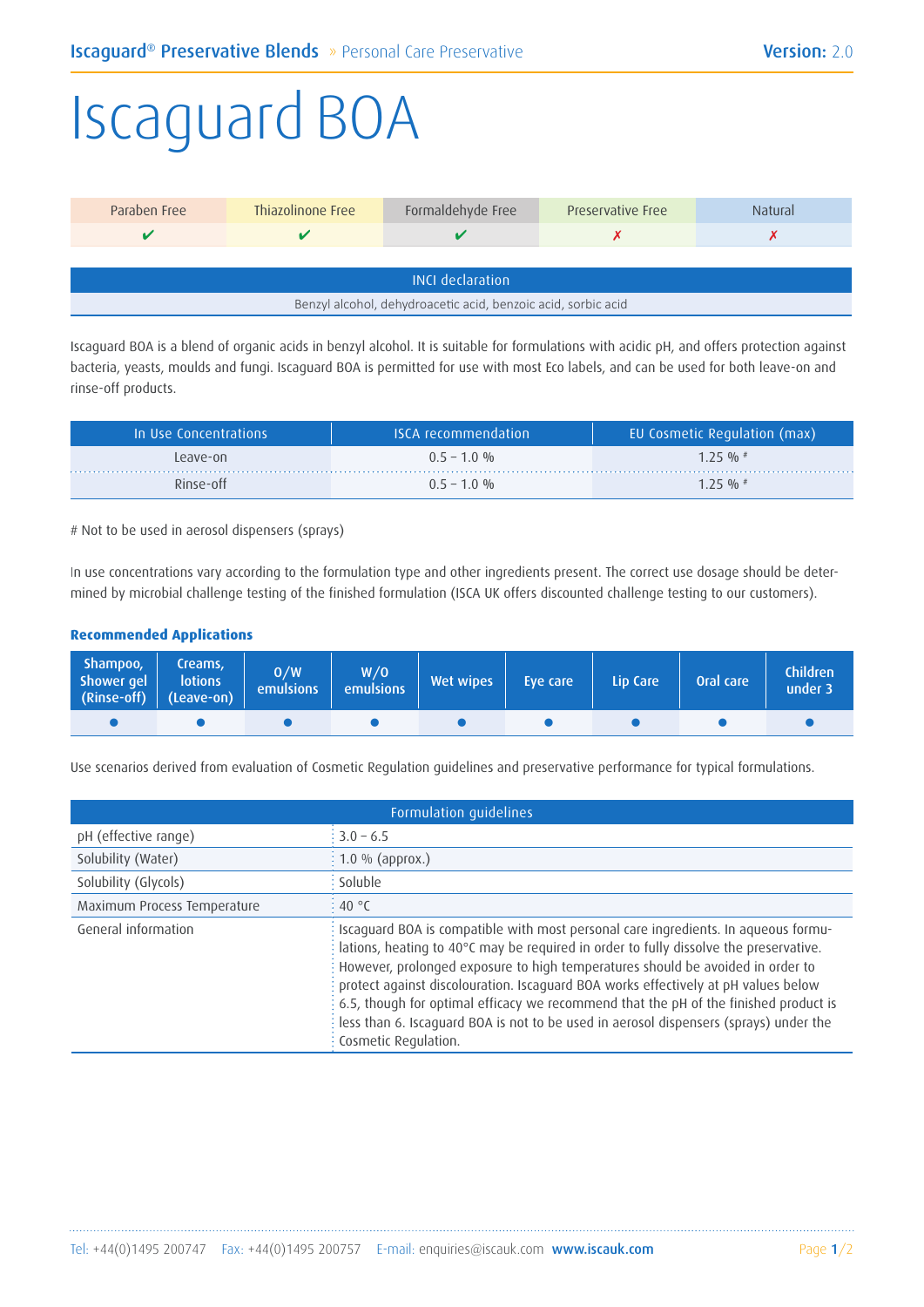## Iscaguard BOA

| Paraben Free                                                  | Thiazolinone Free | Formaldehyde Free | <b>Preservative Free</b> | Natural |  |
|---------------------------------------------------------------|-------------------|-------------------|--------------------------|---------|--|
|                                                               |                   |                   |                          |         |  |
|                                                               |                   |                   |                          |         |  |
| <b>INCL</b> declaration                                       |                   |                   |                          |         |  |
| Benzyl alcohol, dehydroacetic acid, benzoic acid, sorbic acid |                   |                   |                          |         |  |

Iscaguard BOA is a blend of organic acids in benzyl alcohol. It is suitable for formulations with acidic pH, and offers protection against bacteria, yeasts, moulds and fungi. Iscaguard BOA is permitted for use with most Eco labels, and can be used for both leave-on and rinse-off products.

| In Use Concentrations | <b>ISCA</b> recommendation | EU Cosmetic Regulation (max) |
|-----------------------|----------------------------|------------------------------|
| Leave-on              | $0.5 - 1.0 %$              | $1.25 \frac{0}{0}$ #         |
| Rinse-off             | $0.5 - 1.0 %$              | $1.25 \frac{0}{0}$ #         |

# Not to be used in aerosol dispensers (sprays)

In use concentrations vary according to the formulation type and other ingredients present. The correct use dosage should be determined by microbial challenge testing of the finished formulation (ISCA UK offers discounted challenge testing to our customers).

## **Recommended Applications**

| Shampoo,<br>Shower gel<br>$\boxed{\text{(Rinse-off)} \quad \text{(Leave-on)}}$ | Creams,<br><b>lotions</b> | 0/W<br><b>emulsions</b> | W/O<br>emulsions | Wet wipes | Eve care | Lip Care | Oral care | <b>Children</b><br>under 3 |
|--------------------------------------------------------------------------------|---------------------------|-------------------------|------------------|-----------|----------|----------|-----------|----------------------------|
|                                                                                |                           |                         |                  |           |          |          |           |                            |

Use scenarios derived from evaluation of Cosmetic Regulation guidelines and preservative performance for typical formulations.

|                             | Formulation guidelines                                                                                                                                                                                                                                                                                                                                                                                                                                                                                                                                                               |
|-----------------------------|--------------------------------------------------------------------------------------------------------------------------------------------------------------------------------------------------------------------------------------------------------------------------------------------------------------------------------------------------------------------------------------------------------------------------------------------------------------------------------------------------------------------------------------------------------------------------------------|
| pH (effective range)        | $\frac{1}{2}$ 3.0 – 6.5                                                                                                                                                                                                                                                                                                                                                                                                                                                                                                                                                              |
| Solubility (Water)          | $\frac{1}{2}$ 1.0 % (approx.)                                                                                                                                                                                                                                                                                                                                                                                                                                                                                                                                                        |
| Solubility (Glycols)        | : Soluble                                                                                                                                                                                                                                                                                                                                                                                                                                                                                                                                                                            |
| Maximum Process Temperature | $\frac{1}{2}$ 40 °C                                                                                                                                                                                                                                                                                                                                                                                                                                                                                                                                                                  |
| General information         | Iscaguard BOA is compatible with most personal care ingredients. In aqueous formu-<br>$\frac{1}{2}$ lations, heating to 40°C may be required in order to fully dissolve the preservative.<br>: However, prolonged exposure to high temperatures should be avoided in order to<br>: protect against discolouration. Iscaguard BOA works effectively at pH values below<br>: 6.5, though for optimal efficacy we recommend that the pH of the finished product is<br>: less than 6. Iscaguard BOA is not to be used in aerosol dispensers (sprays) under the<br>: Cosmetic Regulation. |